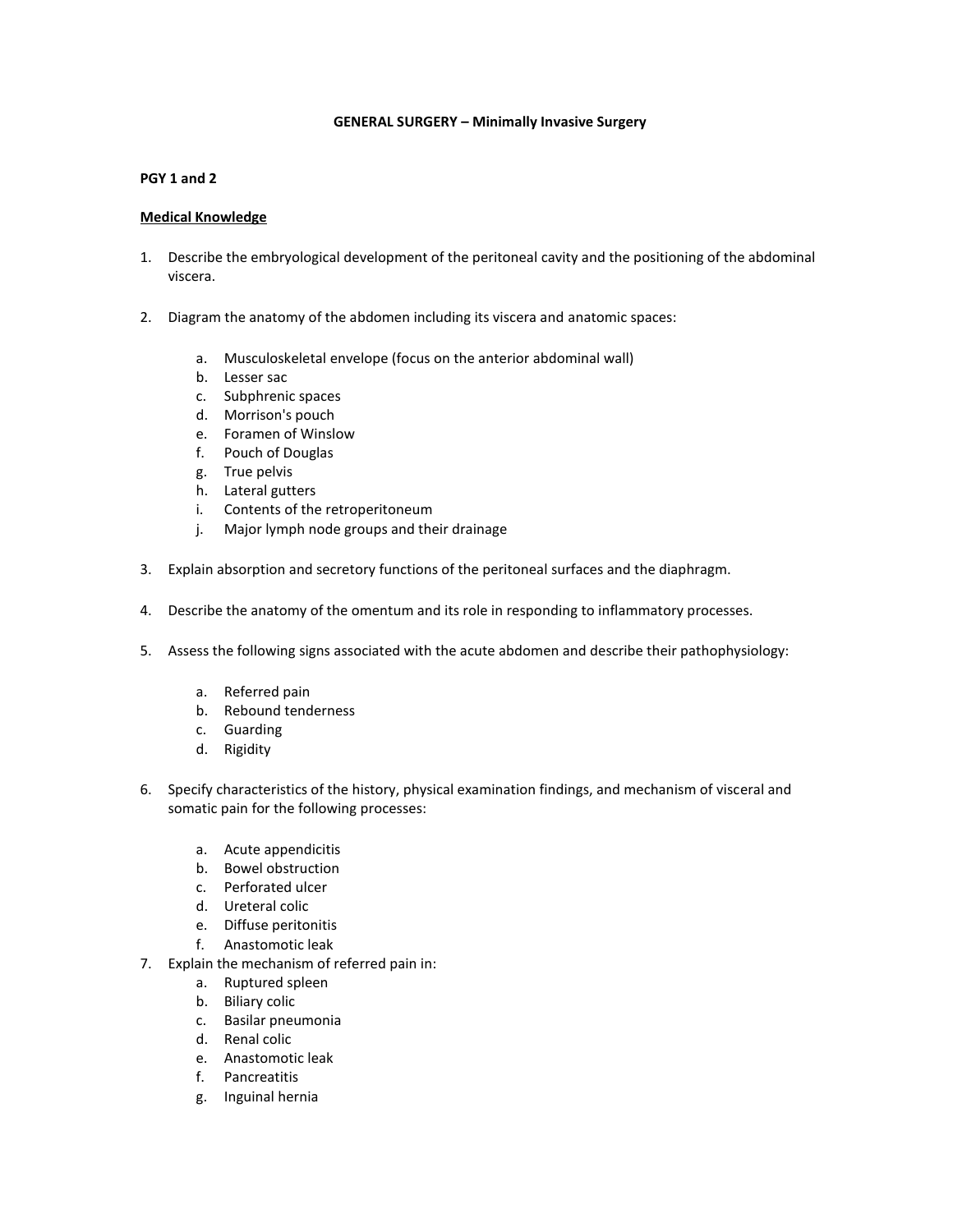#### **GENERAL SURGERY – Minimally Invasive Surgery**

#### **PGY 1 and 2**

- 1. Describe the embryological development of the peritoneal cavity and the positioning of the abdominal viscera.
- 2. Diagram the anatomy of the abdomen including its viscera and anatomic spaces:
	- a. Musculoskeletal envelope (focus on the anterior abdominal wall)
	- b. Lesser sac
	- c. Subphrenic spaces
	- d. Morrison's pouch
	- e. Foramen of Winslow
	- f. Pouch of Douglas
	- g. True pelvis
	- h. Lateral gutters
	- i. Contents of the retroperitoneum
	- j. Major lymph node groups and their drainage
- 3. Explain absorption and secretory functions of the peritoneal surfaces and the diaphragm.
- 4. Describe the anatomy of the omentum and its role in responding to inflammatory processes.
- 5. Assess the following signs associated with the acute abdomen and describe their pathophysiology:
	- a. Referred pain
	- b. Rebound tenderness
	- c. Guarding
	- d. Rigidity
- 6. Specify characteristics of the history, physical examination findings, and mechanism of visceral and somatic pain for the following processes:
	- a. Acute appendicitis
	- b. Bowel obstruction
	- c. Perforated ulcer
	- d. Ureteral colic
	- e. Diffuse peritonitis
	- f. Anastomotic leak
- 7. Explain the mechanism of referred pain in:
	- a. Ruptured spleen
	- b. Biliary colic
	- c. Basilar pneumonia
	- d. Renal colic
	- e. Anastomotic leak
	- f. Pancreatitis
	- g. Inguinal hernia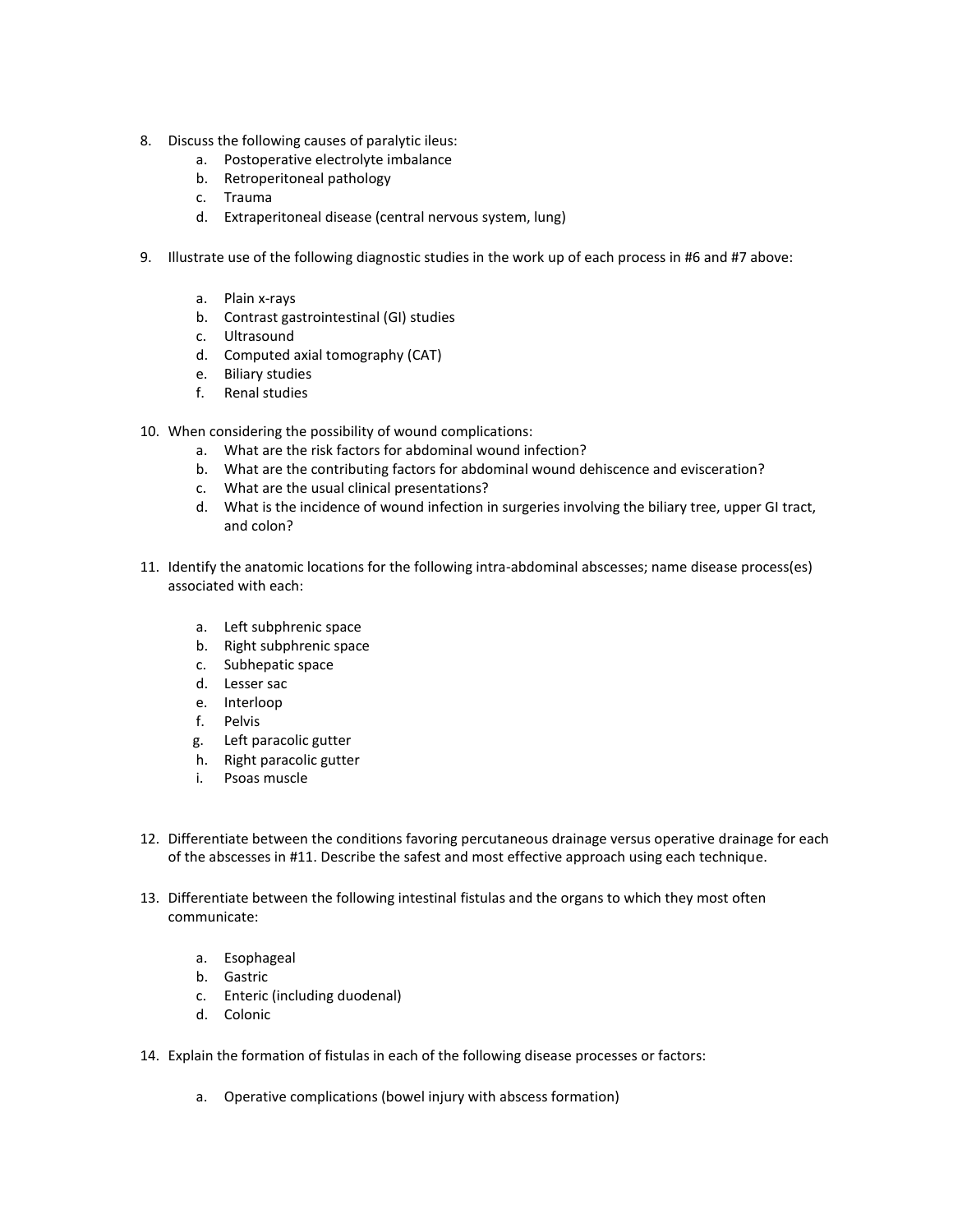- 8. Discuss the following causes of paralytic ileus:
	- a. Postoperative electrolyte imbalance
	- b. Retroperitoneal pathology
	- c. Trauma
	- d. Extraperitoneal disease (central nervous system, lung)
- 9. Illustrate use of the following diagnostic studies in the work up of each process in #6 and #7 above:
	- a. Plain x-rays
	- b. Contrast gastrointestinal (GI) studies
	- c. Ultrasound
	- d. Computed axial tomography (CAT)
	- e. Biliary studies
	- f. Renal studies
- 10. When considering the possibility of wound complications:
	- a. What are the risk factors for abdominal wound infection?
	- b. What are the contributing factors for abdominal wound dehiscence and evisceration?
	- c. What are the usual clinical presentations?
	- d. What is the incidence of wound infection in surgeries involving the biliary tree, upper GI tract, and colon?
- 11. Identify the anatomic locations for the following intra-abdominal abscesses; name disease process(es) associated with each:
	- a. Left subphrenic space
	- b. Right subphrenic space
	- c. Subhepatic space
	- d. Lesser sac
	- e. Interloop
	- f. Pelvis
	- g. Left paracolic gutter
	- h. Right paracolic gutter
	- i. Psoas muscle
- 12. Differentiate between the conditions favoring percutaneous drainage versus operative drainage for each of the abscesses in #11. Describe the safest and most effective approach using each technique.
- 13. Differentiate between the following intestinal fistulas and the organs to which they most often communicate:
	- a. Esophageal
	- b. Gastric
	- c. Enteric (including duodenal)
	- d. Colonic
- 14. Explain the formation of fistulas in each of the following disease processes or factors:
	- a. Operative complications (bowel injury with abscess formation)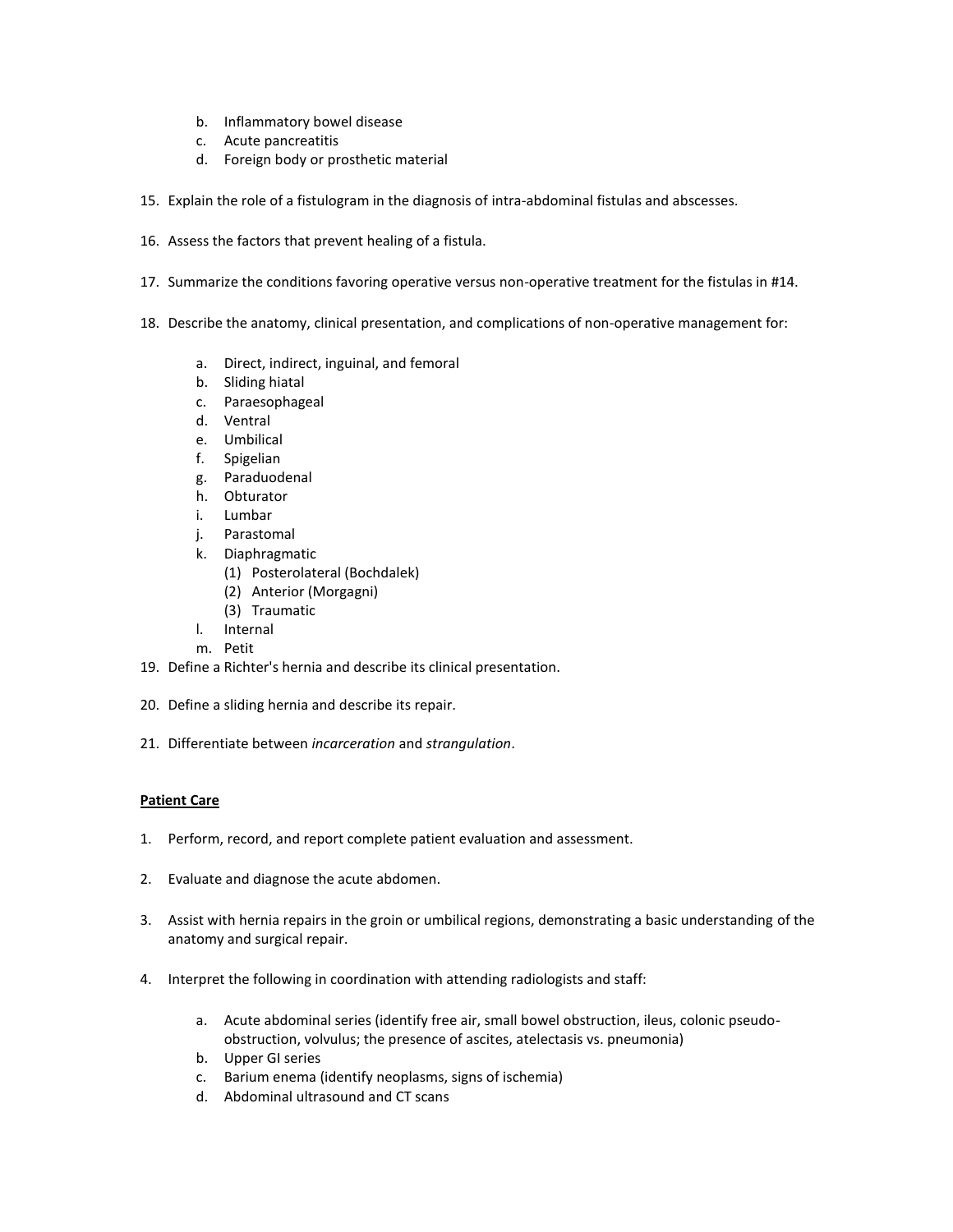- b. Inflammatory bowel disease
- c. Acute pancreatitis
- d. Foreign body or prosthetic material
- 15. Explain the role of a fistulogram in the diagnosis of intra-abdominal fistulas and abscesses.
- 16. Assess the factors that prevent healing of a fistula.
- 17. Summarize the conditions favoring operative versus non-operative treatment for the fistulas in #14.
- 18. Describe the anatomy, clinical presentation, and complications of non-operative management for:
	- a. Direct, indirect, inguinal, and femoral
	- b. Sliding hiatal
	- c. Paraesophageal
	- d. Ventral
	- e. Umbilical
	- f. Spigelian
	- g. Paraduodenal
	- h. Obturator
	- i. Lumbar
	- j. Parastomal
	- k. Diaphragmatic
		- (1) Posterolateral (Bochdalek)
		- (2) Anterior (Morgagni)
		- (3) Traumatic
	- l. Internal
	- m. Petit
- 19. Define a Richter's hernia and describe its clinical presentation.
- 20. Define a sliding hernia and describe its repair.
- 21. Differentiate between *incarceration* and *strangulation*.

- 1. Perform, record, and report complete patient evaluation and assessment.
- 2. Evaluate and diagnose the acute abdomen.
- 3. Assist with hernia repairs in the groin or umbilical regions, demonstrating a basic understanding of the anatomy and surgical repair.
- 4. Interpret the following in coordination with attending radiologists and staff:
	- a. Acute abdominal series (identify free air, small bowel obstruction, ileus, colonic pseudoobstruction, volvulus; the presence of ascites, atelectasis vs. pneumonia)
	- b. Upper GI series
	- c. Barium enema (identify neoplasms, signs of ischemia)
	- d. Abdominal ultrasound and CT scans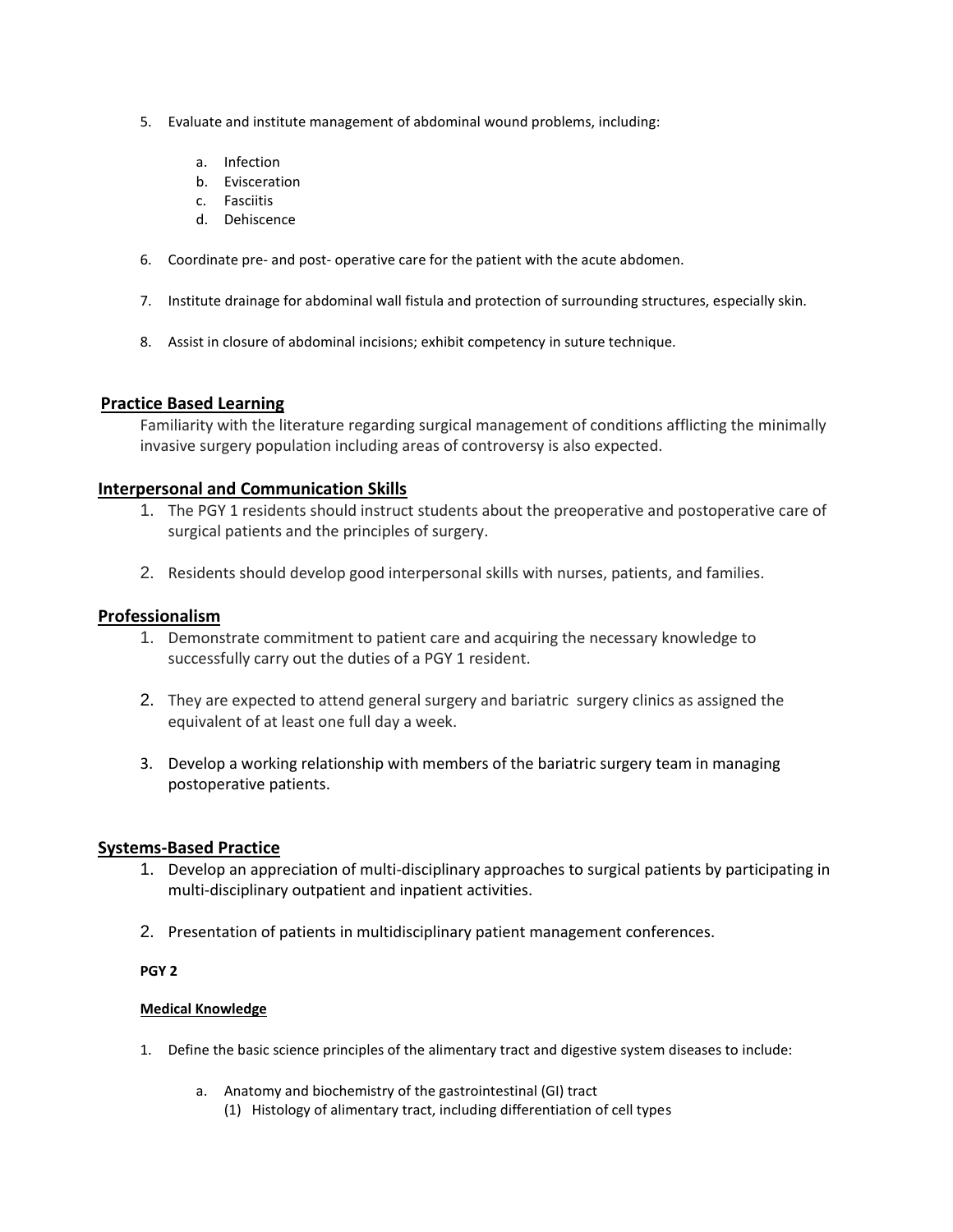- 5. Evaluate and institute management of abdominal wound problems, including:
	- a. Infection
	- b. Evisceration
	- c. Fasciitis
	- d. Dehiscence
- 6. Coordinate pre- and post- operative care for the patient with the acute abdomen.
- 7. Institute drainage for abdominal wall fistula and protection of surrounding structures, especially skin.
- 8. Assist in closure of abdominal incisions; exhibit competency in suture technique.

Familiarity with the literature regarding surgical management of conditions afflicting the minimally invasive surgery population including areas of controversy is also expected.

## **Interpersonal and Communication Skills**

- 1. The PGY 1 residents should instruct students about the preoperative and postoperative care of surgical patients and the principles of surgery.
- 2. Residents should develop good interpersonal skills with nurses, patients, and families.

## **Professionalism**

- 1. Demonstrate commitment to patient care and acquiring the necessary knowledge to successfully carry out the duties of a PGY 1 resident.
- 2. They are expected to attend general surgery and bariatric surgery clinics as assigned the equivalent of at least one full day a week.
- 3. Develop a working relationship with members of the bariatric surgery team in managing postoperative patients.

## **Systems-Based Practice**

- 1. Develop an appreciation of multi-disciplinary approaches to surgical patients by participating in multi-disciplinary outpatient and inpatient activities.
- 2. Presentation of patients in multidisciplinary patient management conferences.

## **PGY 2**

- 1. Define the basic science principles of the alimentary tract and digestive system diseases to include:
	- a. Anatomy and biochemistry of the gastrointestinal (GI) tract
		- (1) Histology of alimentary tract, including differentiation of cell types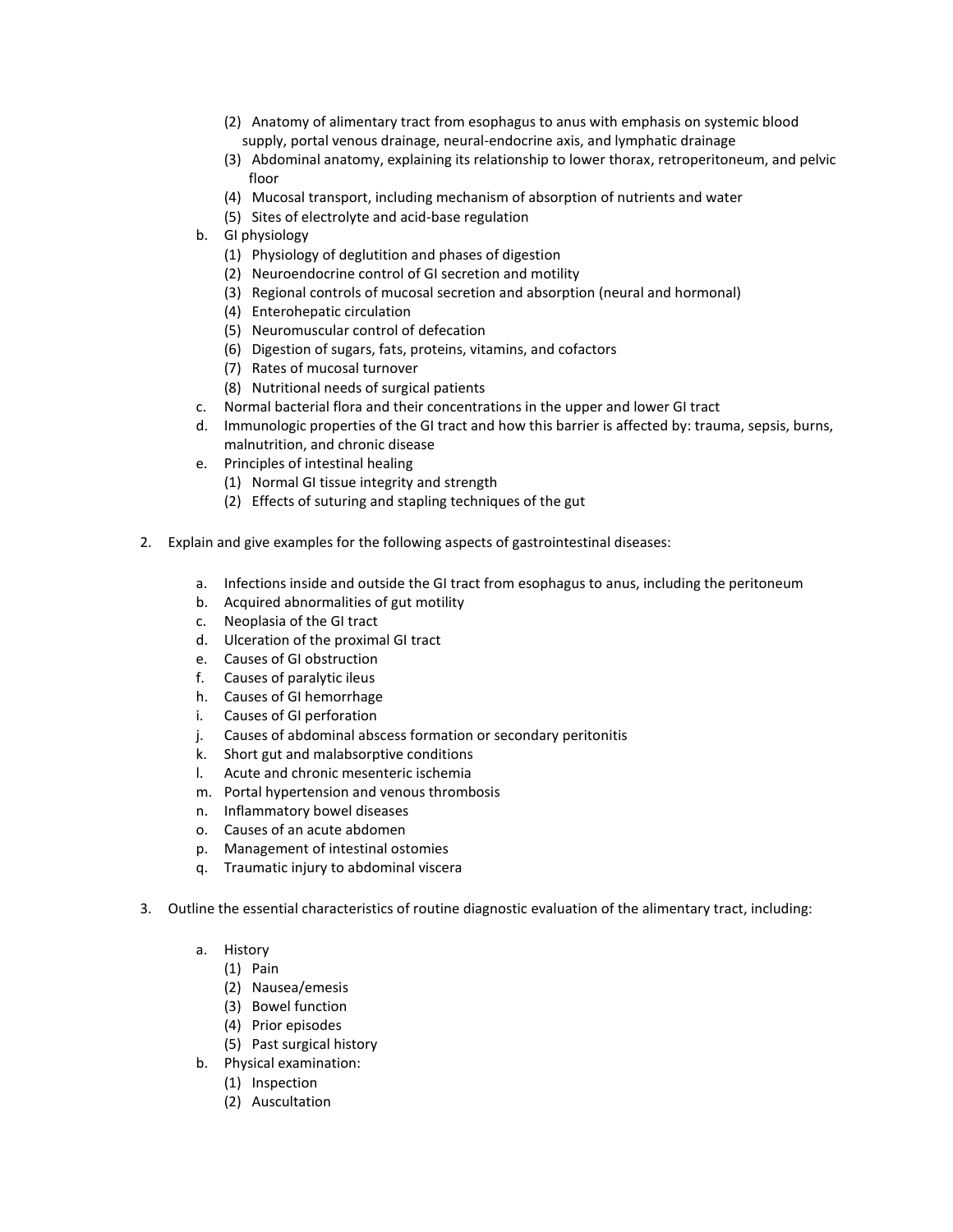- (2) Anatomy of alimentary tract from esophagus to anus with emphasis on systemic blood supply, portal venous drainage, neural-endocrine axis, and lymphatic drainage
- (3) Abdominal anatomy, explaining its relationship to lower thorax, retroperitoneum, and pelvic floor
- (4) Mucosal transport, including mechanism of absorption of nutrients and water
- (5) Sites of electrolyte and acid-base regulation
- b. GI physiology
	- (1) Physiology of deglutition and phases of digestion
	- (2) Neuroendocrine control of GI secretion and motility
	- (3) Regional controls of mucosal secretion and absorption (neural and hormonal)
	- (4) Enterohepatic circulation
	- (5) Neuromuscular control of defecation
	- (6) Digestion of sugars, fats, proteins, vitamins, and cofactors
	- (7) Rates of mucosal turnover
	- (8) Nutritional needs of surgical patients
- c. Normal bacterial flora and their concentrations in the upper and lower GI tract
- d. Immunologic properties of the GI tract and how this barrier is affected by: trauma, sepsis, burns, malnutrition, and chronic disease
- e. Principles of intestinal healing
	- (1) Normal GI tissue integrity and strength
	- (2) Effects of suturing and stapling techniques of the gut
- 2. Explain and give examples for the following aspects of gastrointestinal diseases:
	- a. Infections inside and outside the GI tract from esophagus to anus, including the peritoneum
	- b. Acquired abnormalities of gut motility
	- c. Neoplasia of the GI tract
	- d. Ulceration of the proximal GI tract
	- e. Causes of GI obstruction
	- f. Causes of paralytic ileus
	- h. Causes of GI hemorrhage
	- i. Causes of GI perforation
	- j. Causes of abdominal abscess formation or secondary peritonitis
	- k. Short gut and malabsorptive conditions
	- l. Acute and chronic mesenteric ischemia
	- m. Portal hypertension and venous thrombosis
	- n. Inflammatory bowel diseases
	- o. Causes of an acute abdomen
	- p. Management of intestinal ostomies
	- q. Traumatic injury to abdominal viscera
- 3. Outline the essential characteristics of routine diagnostic evaluation of the alimentary tract, including:
	- a. History
		- (1) Pain
		- (2) Nausea/emesis
		- (3) Bowel function
		- (4) Prior episodes
		- (5) Past surgical history
	- b. Physical examination:
		- (1) Inspection
		- (2) Auscultation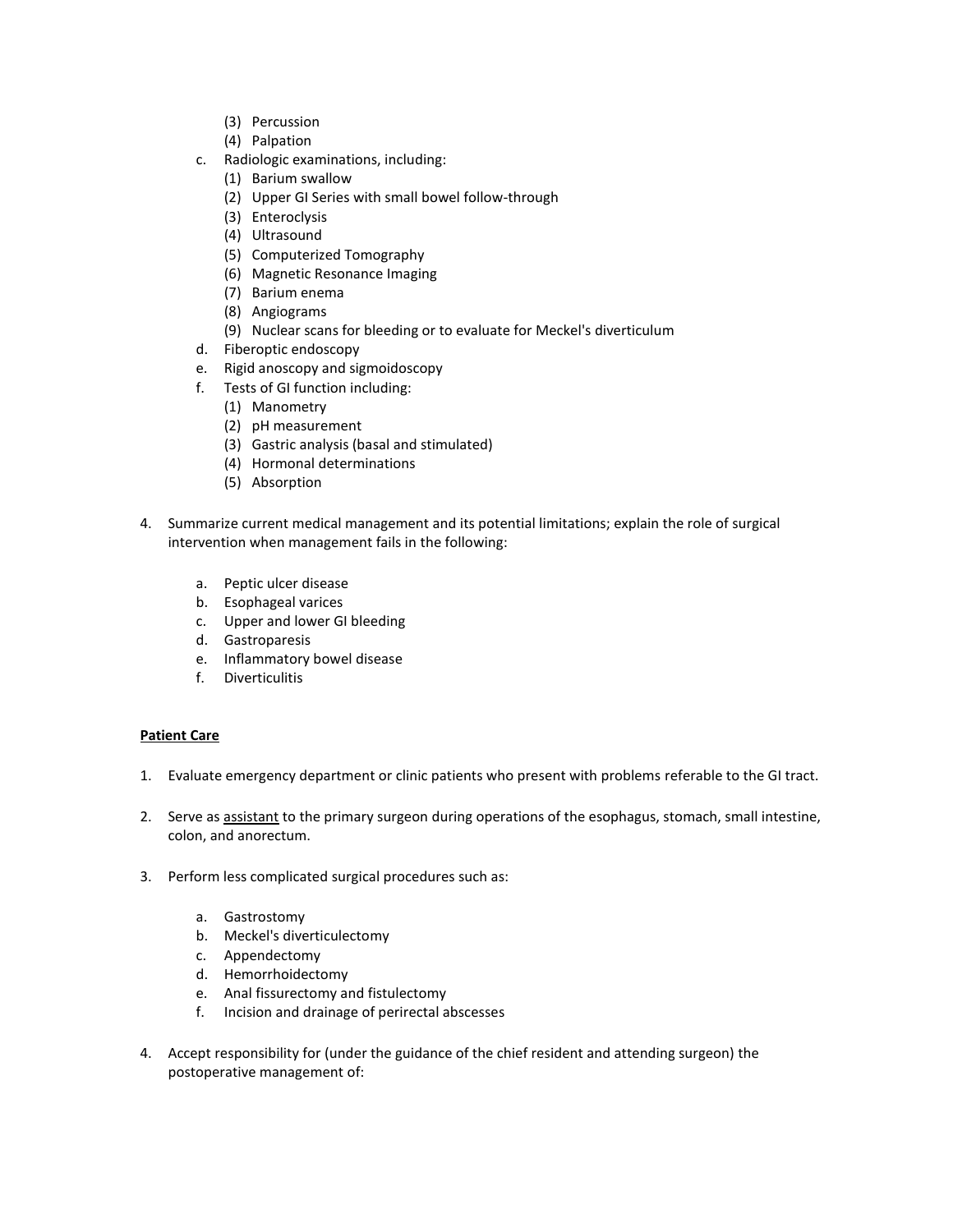- (3) Percussion
- (4) Palpation
- c. Radiologic examinations, including:
	- (1) Barium swallow
	- (2) Upper GI Series with small bowel follow-through
	- (3) Enteroclysis
	- (4) Ultrasound
	- (5) Computerized Tomography
	- (6) Magnetic Resonance Imaging
	- (7) Barium enema
	- (8) Angiograms
	- (9) Nuclear scans for bleeding or to evaluate for Meckel's diverticulum
- d. Fiberoptic endoscopy
- e. Rigid anoscopy and sigmoidoscopy
- f. Tests of GI function including:
	- (1) Manometry
	- (2) pH measurement
	- (3) Gastric analysis (basal and stimulated)
	- (4) Hormonal determinations
	- (5) Absorption
- 4. Summarize current medical management and its potential limitations; explain the role of surgical intervention when management fails in the following:
	- a. Peptic ulcer disease
	- b. Esophageal varices
	- c. Upper and lower GI bleeding
	- d. Gastroparesis
	- e. Inflammatory bowel disease
	- f. Diverticulitis

- 1. Evaluate emergency department or clinic patients who present with problems referable to the GI tract.
- 2. Serve as assistant to the primary surgeon during operations of the esophagus, stomach, small intestine, colon, and anorectum.
- 3. Perform less complicated surgical procedures such as:
	- a. Gastrostomy
	- b. Meckel's diverticulectomy
	- c. Appendectomy
	- d. Hemorrhoidectomy
	- e. Anal fissurectomy and fistulectomy
	- f. Incision and drainage of perirectal abscesses
- 4. Accept responsibility for (under the guidance of the chief resident and attending surgeon) the postoperative management of: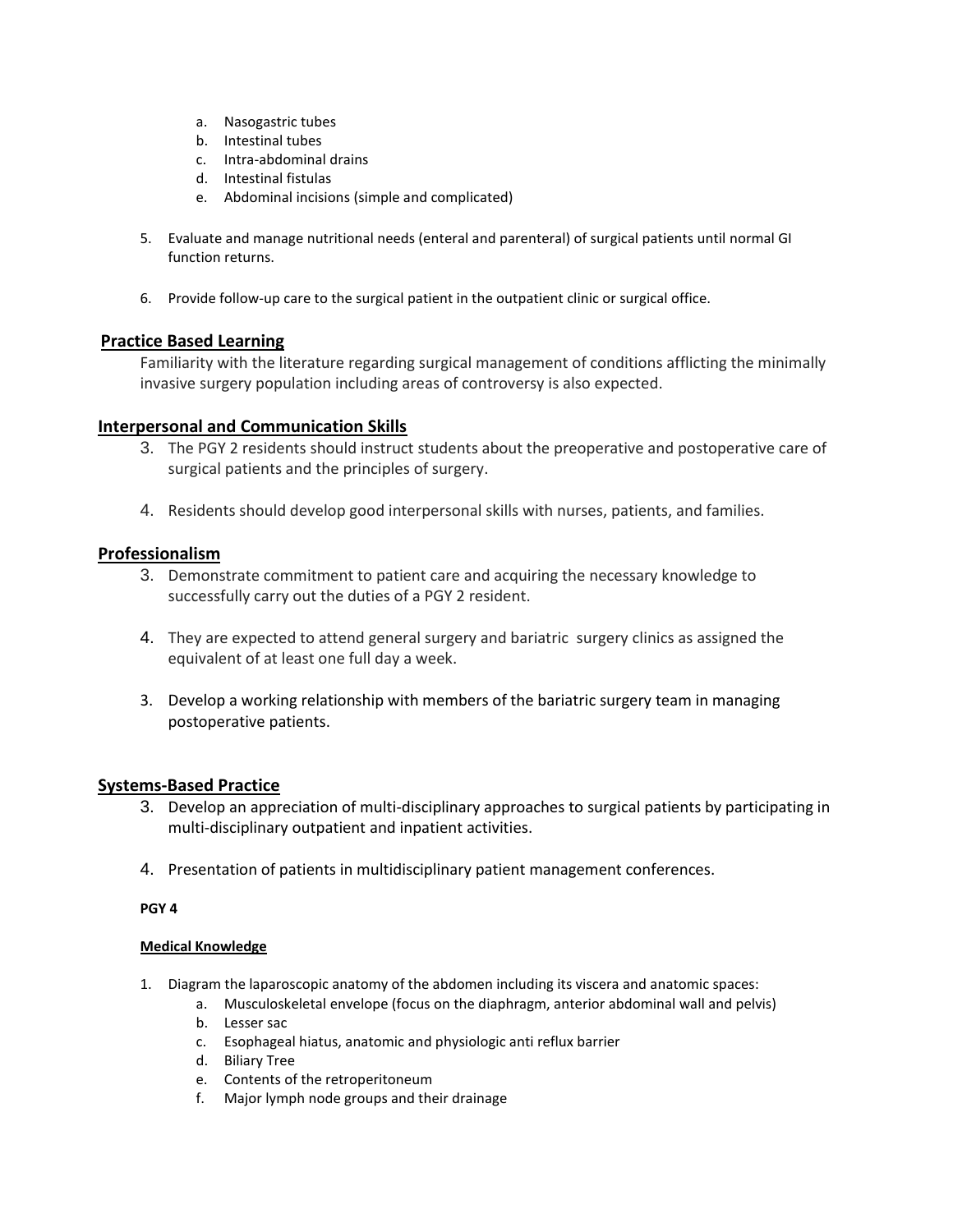- a. Nasogastric tubes
- b. Intestinal tubes
- c. Intra-abdominal drains
- d. Intestinal fistulas
- e. Abdominal incisions (simple and complicated)
- 5. Evaluate and manage nutritional needs (enteral and parenteral) of surgical patients until normal GI function returns.
- 6. Provide follow-up care to the surgical patient in the outpatient clinic or surgical office.

Familiarity with the literature regarding surgical management of conditions afflicting the minimally invasive surgery population including areas of controversy is also expected.

## **Interpersonal and Communication Skills**

- 3. The PGY 2 residents should instruct students about the preoperative and postoperative care of surgical patients and the principles of surgery.
- 4. Residents should develop good interpersonal skills with nurses, patients, and families.

## **Professionalism**

- 3. Demonstrate commitment to patient care and acquiring the necessary knowledge to successfully carry out the duties of a PGY 2 resident.
- 4. They are expected to attend general surgery and bariatric surgery clinics as assigned the equivalent of at least one full day a week.
- 3. Develop a working relationship with members of the bariatric surgery team in managing postoperative patients.

## **Systems-Based Practice**

- 3. Develop an appreciation of multi-disciplinary approaches to surgical patients by participating in multi-disciplinary outpatient and inpatient activities.
- 4. Presentation of patients in multidisciplinary patient management conferences.

### **PGY 4**

- 1. Diagram the laparoscopic anatomy of the abdomen including its viscera and anatomic spaces:
	- a. Musculoskeletal envelope (focus on the diaphragm, anterior abdominal wall and pelvis)
	- b. Lesser sac
	- c. Esophageal hiatus, anatomic and physiologic anti reflux barrier
	- d. Biliary Tree
	- e. Contents of the retroperitoneum
	- f. Major lymph node groups and their drainage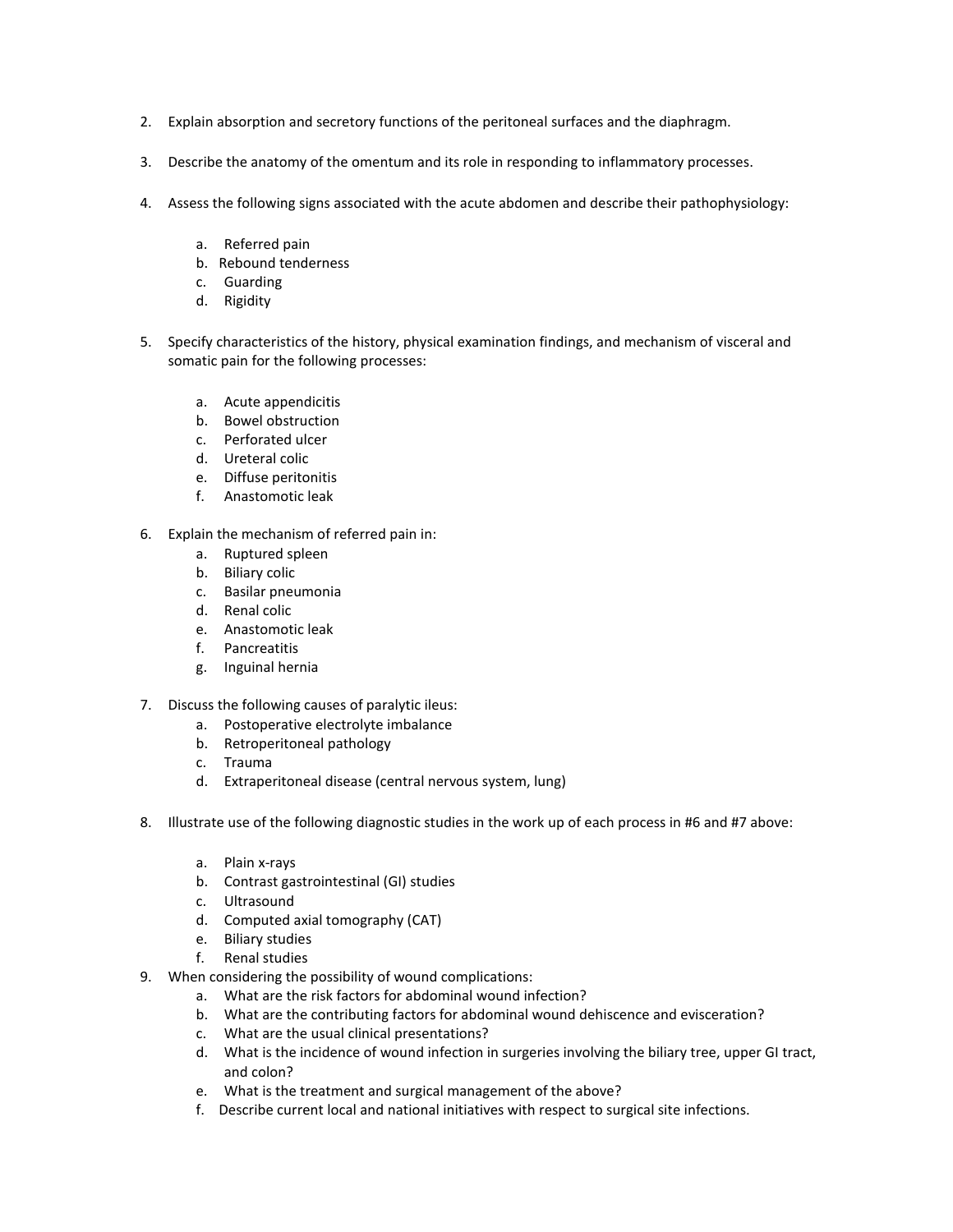- 2. Explain absorption and secretory functions of the peritoneal surfaces and the diaphragm.
- 3. Describe the anatomy of the omentum and its role in responding to inflammatory processes.
- 4. Assess the following signs associated with the acute abdomen and describe their pathophysiology:
	- a. Referred pain
	- b. Rebound tenderness
	- c. Guarding
	- d. Rigidity
- 5. Specify characteristics of the history, physical examination findings, and mechanism of visceral and somatic pain for the following processes:
	- a. Acute appendicitis
	- b. Bowel obstruction
	- c. Perforated ulcer
	- d. Ureteral colic
	- e. Diffuse peritonitis
	- f. Anastomotic leak
- 6. Explain the mechanism of referred pain in:
	- a. Ruptured spleen
	- b. Biliary colic
	- c. Basilar pneumonia
	- d. Renal colic
	- e. Anastomotic leak
	- f. Pancreatitis
	- g. Inguinal hernia
- 7. Discuss the following causes of paralytic ileus:
	- a. Postoperative electrolyte imbalance
	- b. Retroperitoneal pathology
	- c. Trauma
	- d. Extraperitoneal disease (central nervous system, lung)
- 8. Illustrate use of the following diagnostic studies in the work up of each process in #6 and #7 above:
	- a. Plain x-rays
	- b. Contrast gastrointestinal (GI) studies
	- c. Ultrasound
	- d. Computed axial tomography (CAT)
	- e. Biliary studies
	- f. Renal studies
- 9. When considering the possibility of wound complications:
	- a. What are the risk factors for abdominal wound infection?
	- b. What are the contributing factors for abdominal wound dehiscence and evisceration?
	- c. What are the usual clinical presentations?
	- d. What is the incidence of wound infection in surgeries involving the biliary tree, upper GI tract, and colon?
	- e. What is the treatment and surgical management of the above?
	- f. Describe current local and national initiatives with respect to surgical site infections.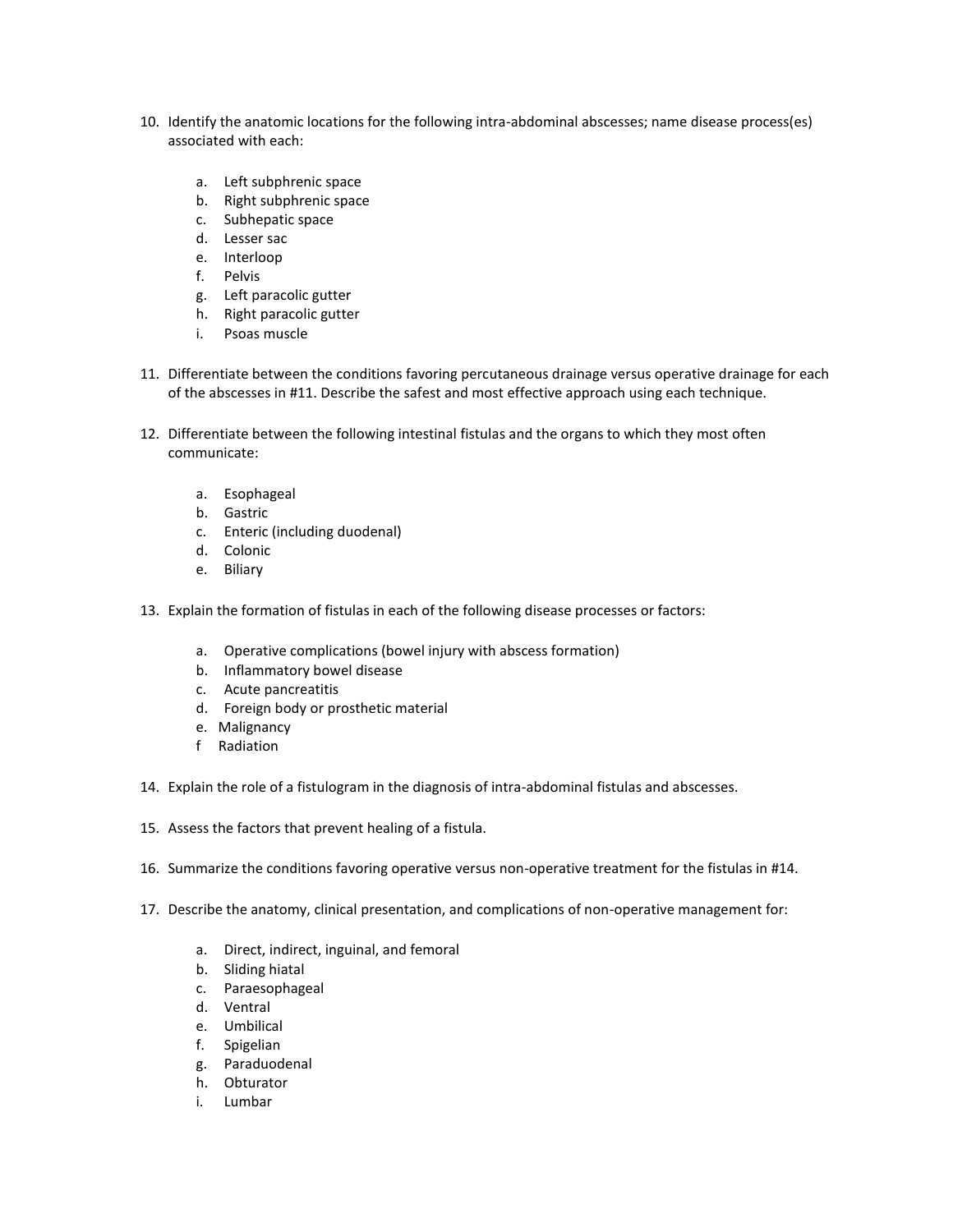- 10. Identify the anatomic locations for the following intra-abdominal abscesses; name disease process(es) associated with each:
	- a. Left subphrenic space
	- b. Right subphrenic space
	- c. Subhepatic space
	- d. Lesser sac
	- e. Interloop
	- f. Pelvis
	- g. Left paracolic gutter
	- h. Right paracolic gutter
	- i. Psoas muscle
- 11. Differentiate between the conditions favoring percutaneous drainage versus operative drainage for each of the abscesses in #11. Describe the safest and most effective approach using each technique.
- 12. Differentiate between the following intestinal fistulas and the organs to which they most often communicate:
	- a. Esophageal
	- b. Gastric
	- c. Enteric (including duodenal)
	- d. Colonic
	- e. Biliary
- 13. Explain the formation of fistulas in each of the following disease processes or factors:
	- a. Operative complications (bowel injury with abscess formation)
	- b. Inflammatory bowel disease
	- c. Acute pancreatitis
	- d. Foreign body or prosthetic material
	- e. Malignancy
	- f Radiation
- 14. Explain the role of a fistulogram in the diagnosis of intra-abdominal fistulas and abscesses.
- 15. Assess the factors that prevent healing of a fistula.
- 16. Summarize the conditions favoring operative versus non-operative treatment for the fistulas in #14.
- 17. Describe the anatomy, clinical presentation, and complications of non-operative management for:
	- a. Direct, indirect, inguinal, and femoral
	- b. Sliding hiatal
	- c. Paraesophageal
	- d. Ventral
	- e. Umbilical
	- f. Spigelian
	- g. Paraduodenal
	- h. Obturator
	- i. Lumbar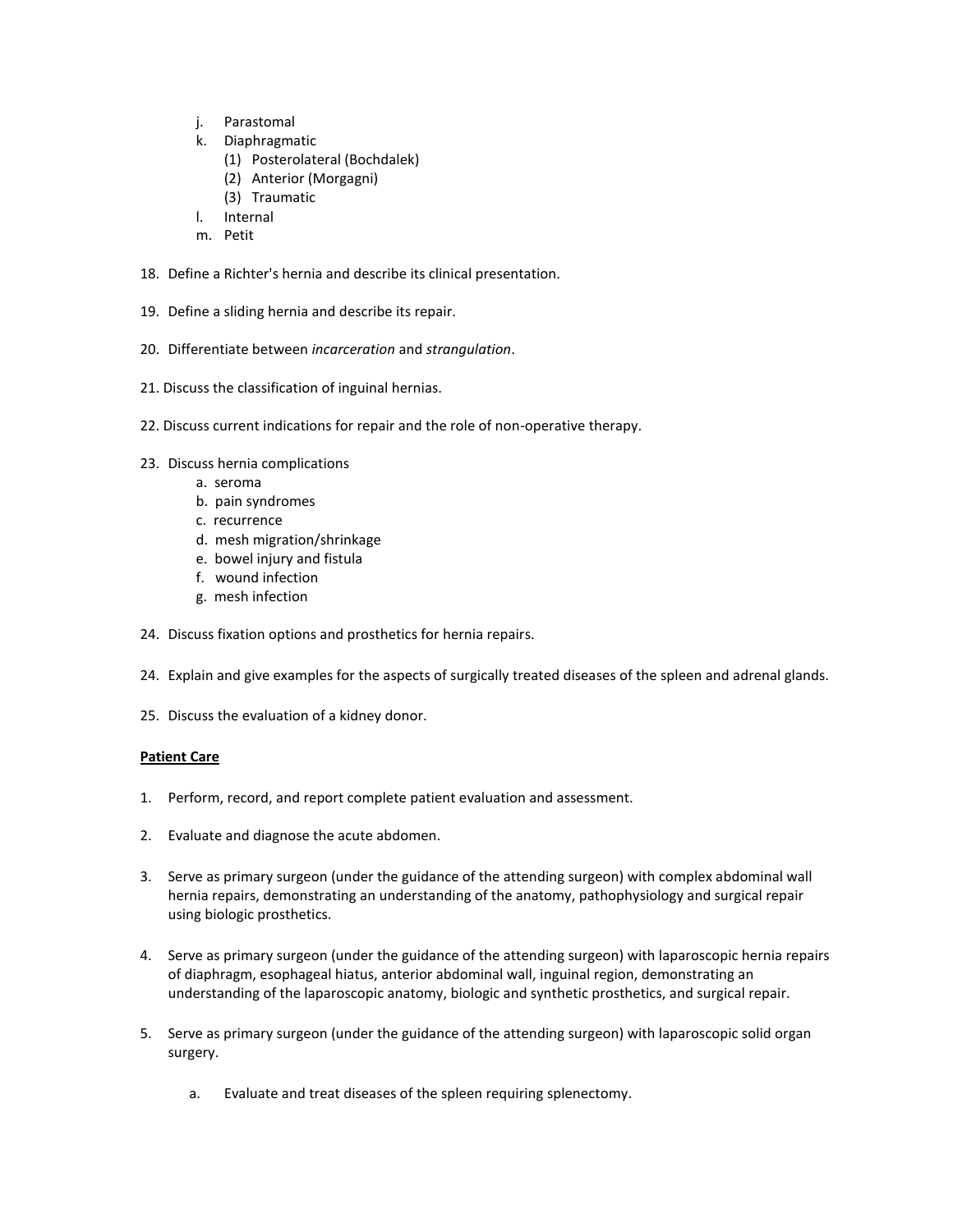- j. Parastomal
- k. Diaphragmatic
	- (1) Posterolateral (Bochdalek)
	- (2) Anterior (Morgagni)
	- (3) Traumatic
- l. Internal
- m. Petit
- 18. Define a Richter's hernia and describe its clinical presentation.
- 19. Define a sliding hernia and describe its repair.
- 20. Differentiate between *incarceration* and *strangulation*.
- 21. Discuss the classification of inguinal hernias.
- 22. Discuss current indications for repair and the role of non-operative therapy.
- 23. Discuss hernia complications
	- a. seroma
	- b. pain syndromes
	- c. recurrence
	- d. mesh migration/shrinkage
	- e. bowel injury and fistula
	- f. wound infection
	- g. mesh infection
- 24. Discuss fixation options and prosthetics for hernia repairs.
- 24. Explain and give examples for the aspects of surgically treated diseases of the spleen and adrenal glands.
- 25. Discuss the evaluation of a kidney donor.

- 1. Perform, record, and report complete patient evaluation and assessment.
- 2. Evaluate and diagnose the acute abdomen.
- 3. Serve as primary surgeon (under the guidance of the attending surgeon) with complex abdominal wall hernia repairs, demonstrating an understanding of the anatomy, pathophysiology and surgical repair using biologic prosthetics.
- 4. Serve as primary surgeon (under the guidance of the attending surgeon) with laparoscopic hernia repairs of diaphragm, esophageal hiatus, anterior abdominal wall, inguinal region, demonstrating an understanding of the laparoscopic anatomy, biologic and synthetic prosthetics, and surgical repair.
- 5. Serve as primary surgeon (under the guidance of the attending surgeon) with laparoscopic solid organ surgery.
	- a. Evaluate and treat diseases of the spleen requiring splenectomy.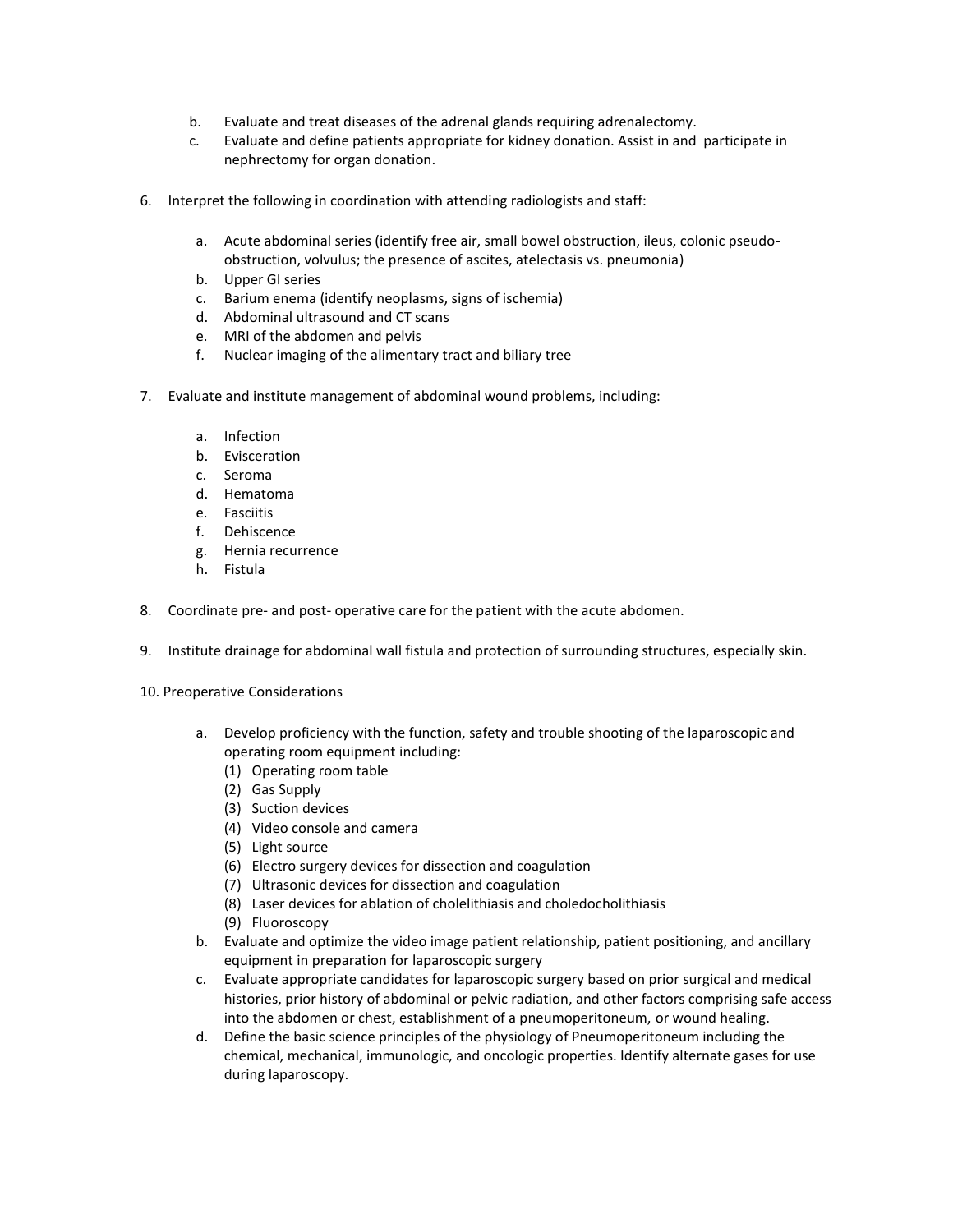- b. Evaluate and treat diseases of the adrenal glands requiring adrenalectomy.
- c. Evaluate and define patients appropriate for kidney donation. Assist in and participate in nephrectomy for organ donation.
- 6. Interpret the following in coordination with attending radiologists and staff:
	- a. Acute abdominal series (identify free air, small bowel obstruction, ileus, colonic pseudoobstruction, volvulus; the presence of ascites, atelectasis vs. pneumonia)
	- b. Upper GI series
	- c. Barium enema (identify neoplasms, signs of ischemia)
	- d. Abdominal ultrasound and CT scans
	- e. MRI of the abdomen and pelvis
	- f. Nuclear imaging of the alimentary tract and biliary tree
- 7. Evaluate and institute management of abdominal wound problems, including:
	- a. Infection
	- b. Evisceration
	- c. Seroma
	- d. Hematoma
	- e. Fasciitis
	- f. Dehiscence
	- g. Hernia recurrence
	- h. Fistula
- 8. Coordinate pre- and post- operative care for the patient with the acute abdomen.
- 9. Institute drainage for abdominal wall fistula and protection of surrounding structures, especially skin.
- 10. Preoperative Considerations
	- a. Develop proficiency with the function, safety and trouble shooting of the laparoscopic and operating room equipment including:
		- (1) Operating room table
		- (2) Gas Supply
		- (3) Suction devices
		- (4) Video console and camera
		- (5) Light source
		- (6) Electro surgery devices for dissection and coagulation
		- (7) Ultrasonic devices for dissection and coagulation
		- (8) Laser devices for ablation of cholelithiasis and choledocholithiasis
		- (9) Fluoroscopy
	- b. Evaluate and optimize the video image patient relationship, patient positioning, and ancillary equipment in preparation for laparoscopic surgery
	- c. Evaluate appropriate candidates for laparoscopic surgery based on prior surgical and medical histories, prior history of abdominal or pelvic radiation, and other factors comprising safe access into the abdomen or chest, establishment of a pneumoperitoneum, or wound healing.
	- d. Define the basic science principles of the physiology of Pneumoperitoneum including the chemical, mechanical, immunologic, and oncologic properties. Identify alternate gases for use during laparoscopy.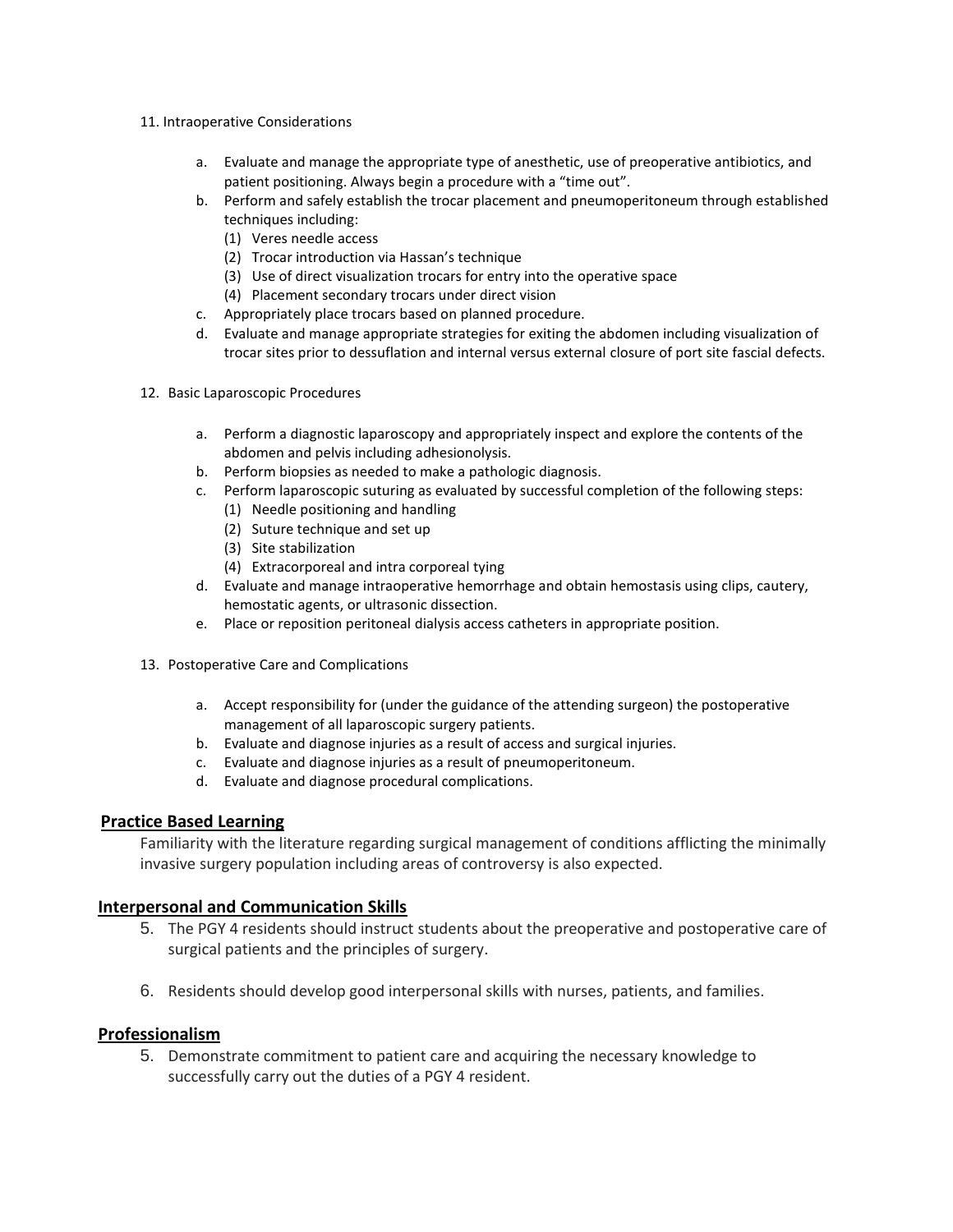- 11. Intraoperative Considerations
	- a. Evaluate and manage the appropriate type of anesthetic, use of preoperative antibiotics, and patient positioning. Always begin a procedure with a "time out".
	- b. Perform and safely establish the trocar placement and pneumoperitoneum through established techniques including:
		- (1) Veres needle access
		- (2) Trocar introduction via Hassan's technique
		- (3) Use of direct visualization trocars for entry into the operative space
		- (4) Placement secondary trocars under direct vision
	- c. Appropriately place trocars based on planned procedure.
	- d. Evaluate and manage appropriate strategies for exiting the abdomen including visualization of trocar sites prior to dessuflation and internal versus external closure of port site fascial defects.
- 12. Basic Laparoscopic Procedures
	- a. Perform a diagnostic laparoscopy and appropriately inspect and explore the contents of the abdomen and pelvis including adhesionolysis.
	- b. Perform biopsies as needed to make a pathologic diagnosis.
	- c. Perform laparoscopic suturing as evaluated by successful completion of the following steps:
		- (1) Needle positioning and handling
		- (2) Suture technique and set up
		- (3) Site stabilization
		- (4) Extracorporeal and intra corporeal tying
	- d. Evaluate and manage intraoperative hemorrhage and obtain hemostasis using clips, cautery, hemostatic agents, or ultrasonic dissection.
	- e. Place or reposition peritoneal dialysis access catheters in appropriate position.
- 13. Postoperative Care and Complications
	- a. Accept responsibility for (under the guidance of the attending surgeon) the postoperative management of all laparoscopic surgery patients.
	- b. Evaluate and diagnose injuries as a result of access and surgical injuries.
	- c. Evaluate and diagnose injuries as a result of pneumoperitoneum.
	- d. Evaluate and diagnose procedural complications.

Familiarity with the literature regarding surgical management of conditions afflicting the minimally invasive surgery population including areas of controversy is also expected.

## **Interpersonal and Communication Skills**

- 5. The PGY 4 residents should instruct students about the preoperative and postoperative care of surgical patients and the principles of surgery.
- 6. Residents should develop good interpersonal skills with nurses, patients, and families.

## **Professionalism**

5. Demonstrate commitment to patient care and acquiring the necessary knowledge to successfully carry out the duties of a PGY 4 resident.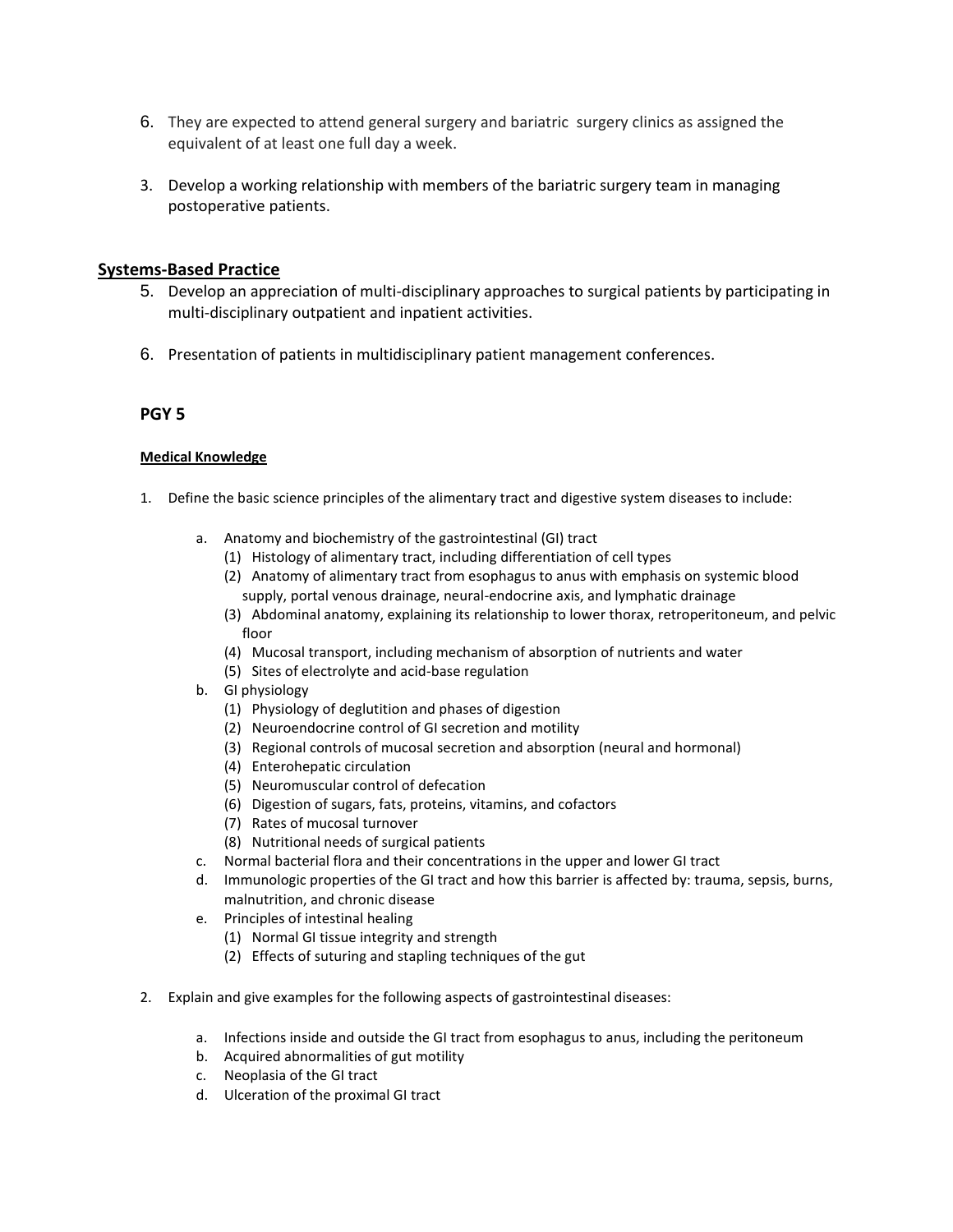- 6. They are expected to attend general surgery and bariatric surgery clinics as assigned the equivalent of at least one full day a week.
- 3. Develop a working relationship with members of the bariatric surgery team in managing postoperative patients.

## **Systems-Based Practice**

- 5. Develop an appreciation of multi-disciplinary approaches to surgical patients by participating in multi-disciplinary outpatient and inpatient activities.
- 6. Presentation of patients in multidisciplinary patient management conferences.

## **PGY 5**

- 1. Define the basic science principles of the alimentary tract and digestive system diseases to include:
	- a. Anatomy and biochemistry of the gastrointestinal (GI) tract
		- (1) Histology of alimentary tract, including differentiation of cell types
		- (2) Anatomy of alimentary tract from esophagus to anus with emphasis on systemic blood supply, portal venous drainage, neural-endocrine axis, and lymphatic drainage
		- (3) Abdominal anatomy, explaining its relationship to lower thorax, retroperitoneum, and pelvic floor
		- (4) Mucosal transport, including mechanism of absorption of nutrients and water
		- (5) Sites of electrolyte and acid-base regulation
	- b. GI physiology
		- (1) Physiology of deglutition and phases of digestion
		- (2) Neuroendocrine control of GI secretion and motility
		- (3) Regional controls of mucosal secretion and absorption (neural and hormonal)
		- (4) Enterohepatic circulation
		- (5) Neuromuscular control of defecation
		- (6) Digestion of sugars, fats, proteins, vitamins, and cofactors
		- (7) Rates of mucosal turnover
		- (8) Nutritional needs of surgical patients
	- c. Normal bacterial flora and their concentrations in the upper and lower GI tract
	- d. Immunologic properties of the GI tract and how this barrier is affected by: trauma, sepsis, burns, malnutrition, and chronic disease
	- e. Principles of intestinal healing
		- (1) Normal GI tissue integrity and strength
		- (2) Effects of suturing and stapling techniques of the gut
- 2. Explain and give examples for the following aspects of gastrointestinal diseases:
	- a. Infections inside and outside the GI tract from esophagus to anus, including the peritoneum
	- b. Acquired abnormalities of gut motility
	- c. Neoplasia of the GI tract
	- d. Ulceration of the proximal GI tract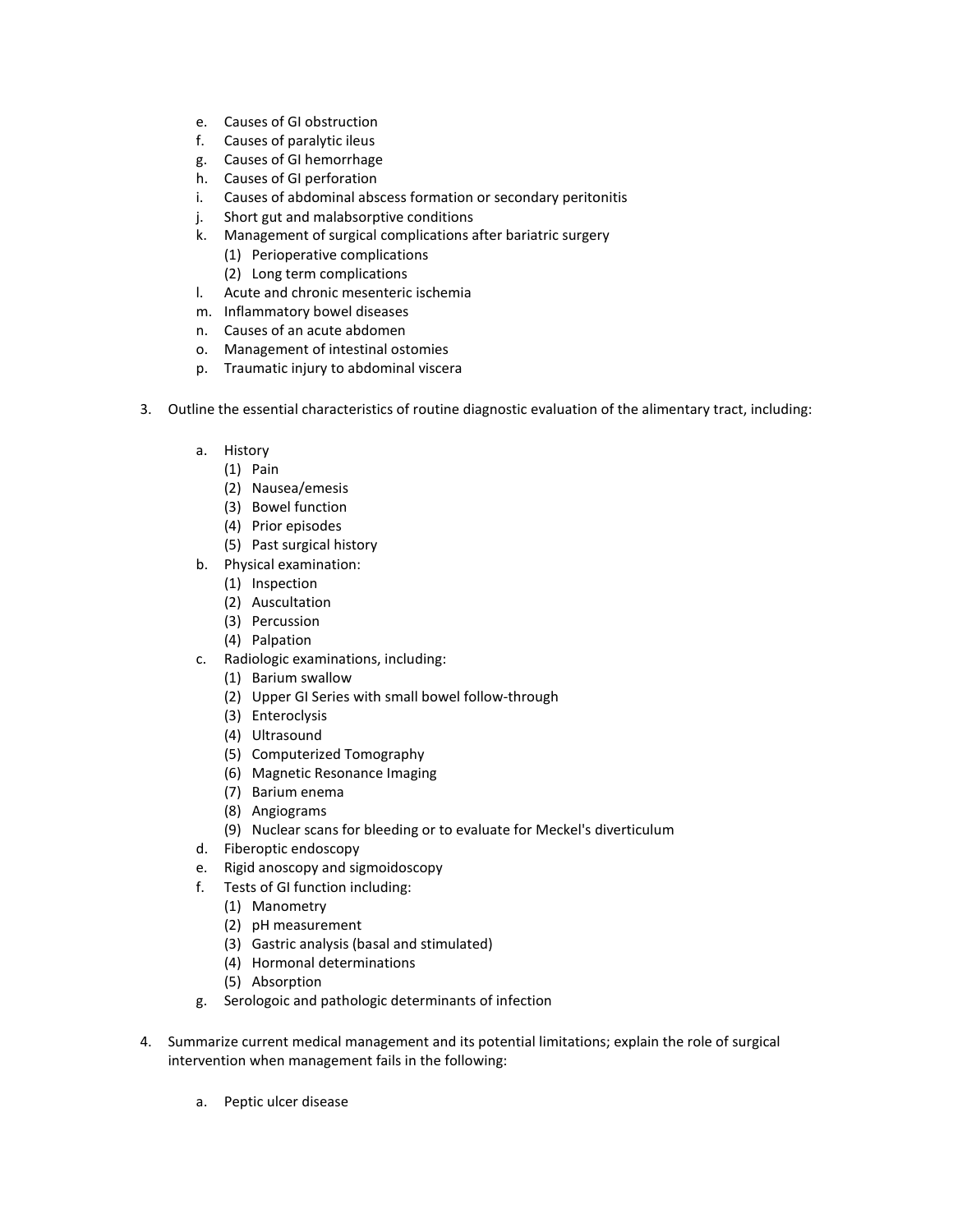- e. Causes of GI obstruction
- f. Causes of paralytic ileus
- g. Causes of GI hemorrhage
- h. Causes of GI perforation
- i. Causes of abdominal abscess formation or secondary peritonitis
- j. Short gut and malabsorptive conditions
- k. Management of surgical complications after bariatric surgery
	- (1) Perioperative complications
	- (2) Long term complications
- l. Acute and chronic mesenteric ischemia
- m. Inflammatory bowel diseases
- n. Causes of an acute abdomen
- o. Management of intestinal ostomies
- p. Traumatic injury to abdominal viscera
- 3. Outline the essential characteristics of routine diagnostic evaluation of the alimentary tract, including:
	- a. History
		- (1) Pain
		- (2) Nausea/emesis
		- (3) Bowel function
		- (4) Prior episodes
		- (5) Past surgical history
	- b. Physical examination:
		- (1) Inspection
		- (2) Auscultation
		- (3) Percussion
		- (4) Palpation
	- c. Radiologic examinations, including:
		- (1) Barium swallow
		- (2) Upper GI Series with small bowel follow-through
		- (3) Enteroclysis
		- (4) Ultrasound
		- (5) Computerized Tomography
		- (6) Magnetic Resonance Imaging
		- (7) Barium enema
		- (8) Angiograms
		- (9) Nuclear scans for bleeding or to evaluate for Meckel's diverticulum
	- d. Fiberoptic endoscopy
	- e. Rigid anoscopy and sigmoidoscopy
	- f. Tests of GI function including:
		- (1) Manometry
		- (2) pH measurement
		- (3) Gastric analysis (basal and stimulated)
		- (4) Hormonal determinations
		- (5) Absorption
	- g. Serologoic and pathologic determinants of infection
- 4. Summarize current medical management and its potential limitations; explain the role of surgical intervention when management fails in the following:
	- a. Peptic ulcer disease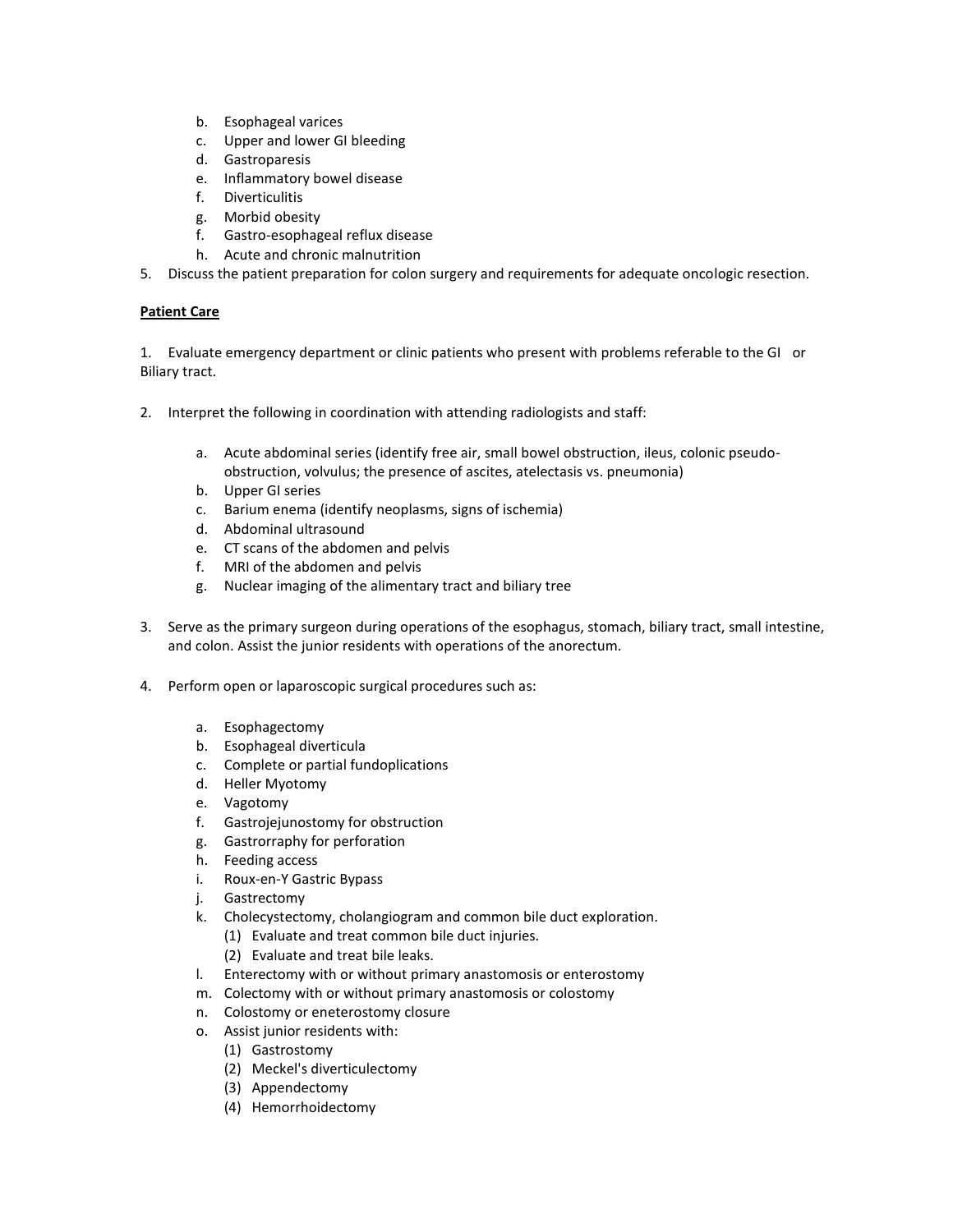- b. Esophageal varices
- c. Upper and lower GI bleeding
- d. Gastroparesis
- e. Inflammatory bowel disease
- f. Diverticulitis
- g. Morbid obesity
- f. Gastro-esophageal reflux disease
- h. Acute and chronic malnutrition
- 5. Discuss the patient preparation for colon surgery and requirements for adequate oncologic resection.

1. Evaluate emergency department or clinic patients who present with problems referable to the GI or Biliary tract.

- 2. Interpret the following in coordination with attending radiologists and staff:
	- a. Acute abdominal series (identify free air, small bowel obstruction, ileus, colonic pseudoobstruction, volvulus; the presence of ascites, atelectasis vs. pneumonia)
	- b. Upper GI series
	- c. Barium enema (identify neoplasms, signs of ischemia)
	- d. Abdominal ultrasound
	- e. CT scans of the abdomen and pelvis
	- f. MRI of the abdomen and pelvis
	- g. Nuclear imaging of the alimentary tract and biliary tree
- 3. Serve as the primary surgeon during operations of the esophagus, stomach, biliary tract, small intestine, and colon. Assist the junior residents with operations of the anorectum.
- 4. Perform open or laparoscopic surgical procedures such as:
	- a. Esophagectomy
	- b. Esophageal diverticula
	- c. Complete or partial fundoplications
	- d. Heller Myotomy
	- e. Vagotomy
	- f. Gastrojejunostomy for obstruction
	- g. Gastrorraphy for perforation
	- h. Feeding access
	- i. Roux-en-Y Gastric Bypass
	- j. Gastrectomy
	- k. Cholecystectomy, cholangiogram and common bile duct exploration.
		- (1) Evaluate and treat common bile duct injuries.
		- (2) Evaluate and treat bile leaks.
	- l. Enterectomy with or without primary anastomosis or enterostomy
	- m. Colectomy with or without primary anastomosis or colostomy
	- n. Colostomy or eneterostomy closure
	- o. Assist junior residents with:
		- (1) Gastrostomy
		- (2) Meckel's diverticulectomy
		- (3) Appendectomy
		- (4) Hemorrhoidectomy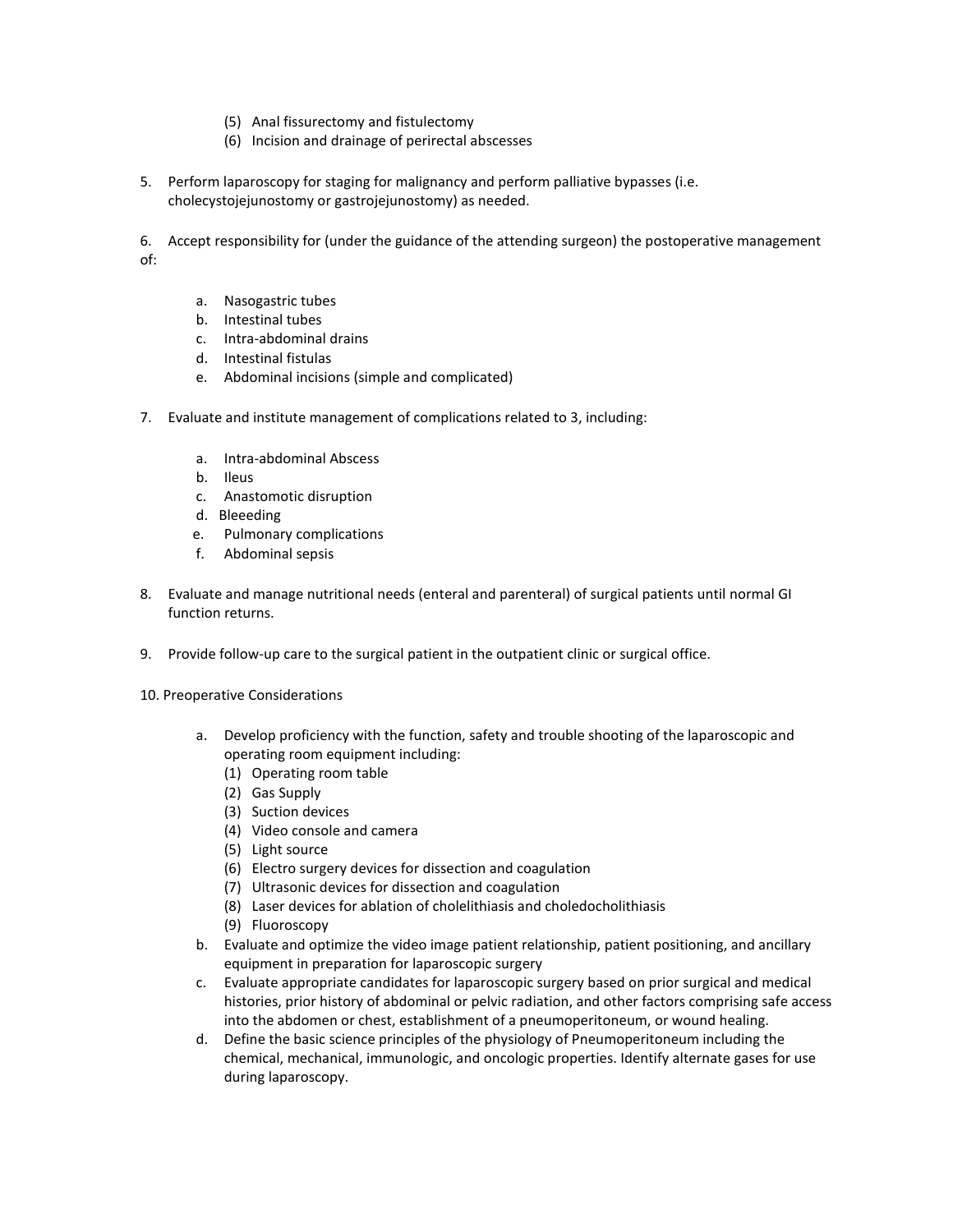- (5) Anal fissurectomy and fistulectomy
- (6) Incision and drainage of perirectal abscesses
- 5. Perform laparoscopy for staging for malignancy and perform palliative bypasses (i.e. cholecystojejunostomy or gastrojejunostomy) as needed.

6. Accept responsibility for (under the guidance of the attending surgeon) the postoperative management of:

- a. Nasogastric tubes
- b. Intestinal tubes
- c. Intra-abdominal drains
- d. Intestinal fistulas
- e. Abdominal incisions (simple and complicated)
- 7. Evaluate and institute management of complications related to 3, including:
	- a. Intra-abdominal Abscess
	- b. Ileus
	- c. Anastomotic disruption
	- d. Bleeeding
	- e. Pulmonary complications
	- f. Abdominal sepsis
- 8. Evaluate and manage nutritional needs (enteral and parenteral) of surgical patients until normal GI function returns.
- 9. Provide follow-up care to the surgical patient in the outpatient clinic or surgical office.
- 10. Preoperative Considerations
	- a. Develop proficiency with the function, safety and trouble shooting of the laparoscopic and operating room equipment including:
		- (1) Operating room table
		- (2) Gas Supply
		- (3) Suction devices
		- (4) Video console and camera
		- (5) Light source
		- (6) Electro surgery devices for dissection and coagulation
		- (7) Ultrasonic devices for dissection and coagulation
		- (8) Laser devices for ablation of cholelithiasis and choledocholithiasis
		- (9) Fluoroscopy
	- b. Evaluate and optimize the video image patient relationship, patient positioning, and ancillary equipment in preparation for laparoscopic surgery
	- c. Evaluate appropriate candidates for laparoscopic surgery based on prior surgical and medical histories, prior history of abdominal or pelvic radiation, and other factors comprising safe access into the abdomen or chest, establishment of a pneumoperitoneum, or wound healing.
	- d. Define the basic science principles of the physiology of Pneumoperitoneum including the chemical, mechanical, immunologic, and oncologic properties. Identify alternate gases for use during laparoscopy.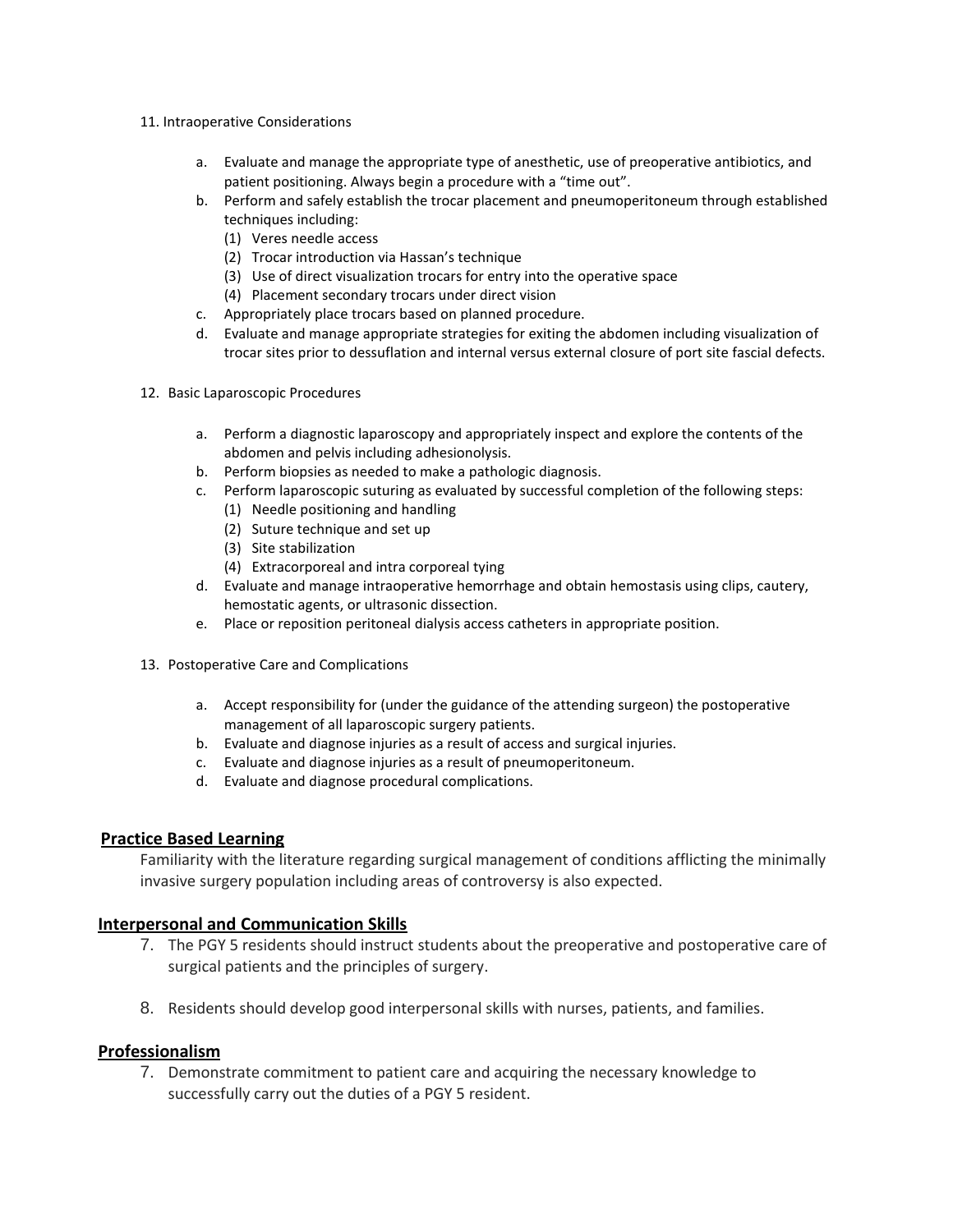- 11. Intraoperative Considerations
	- a. Evaluate and manage the appropriate type of anesthetic, use of preoperative antibiotics, and patient positioning. Always begin a procedure with a "time out".
	- b. Perform and safely establish the trocar placement and pneumoperitoneum through established techniques including:
		- (1) Veres needle access
		- (2) Trocar introduction via Hassan's technique
		- (3) Use of direct visualization trocars for entry into the operative space
		- (4) Placement secondary trocars under direct vision
	- c. Appropriately place trocars based on planned procedure.
	- d. Evaluate and manage appropriate strategies for exiting the abdomen including visualization of trocar sites prior to dessuflation and internal versus external closure of port site fascial defects.
- 12. Basic Laparoscopic Procedures
	- a. Perform a diagnostic laparoscopy and appropriately inspect and explore the contents of the abdomen and pelvis including adhesionolysis.
	- b. Perform biopsies as needed to make a pathologic diagnosis.
	- c. Perform laparoscopic suturing as evaluated by successful completion of the following steps:
		- (1) Needle positioning and handling
		- (2) Suture technique and set up
		- (3) Site stabilization
		- (4) Extracorporeal and intra corporeal tying
	- d. Evaluate and manage intraoperative hemorrhage and obtain hemostasis using clips, cautery, hemostatic agents, or ultrasonic dissection.
	- e. Place or reposition peritoneal dialysis access catheters in appropriate position.
- 13. Postoperative Care and Complications
	- a. Accept responsibility for (under the guidance of the attending surgeon) the postoperative management of all laparoscopic surgery patients.
	- b. Evaluate and diagnose injuries as a result of access and surgical injuries.
	- c. Evaluate and diagnose injuries as a result of pneumoperitoneum.
	- d. Evaluate and diagnose procedural complications.

Familiarity with the literature regarding surgical management of conditions afflicting the minimally invasive surgery population including areas of controversy is also expected.

## **Interpersonal and Communication Skills**

- 7. The PGY 5 residents should instruct students about the preoperative and postoperative care of surgical patients and the principles of surgery.
- 8. Residents should develop good interpersonal skills with nurses, patients, and families.

## **Professionalism**

7. Demonstrate commitment to patient care and acquiring the necessary knowledge to successfully carry out the duties of a PGY 5 resident.